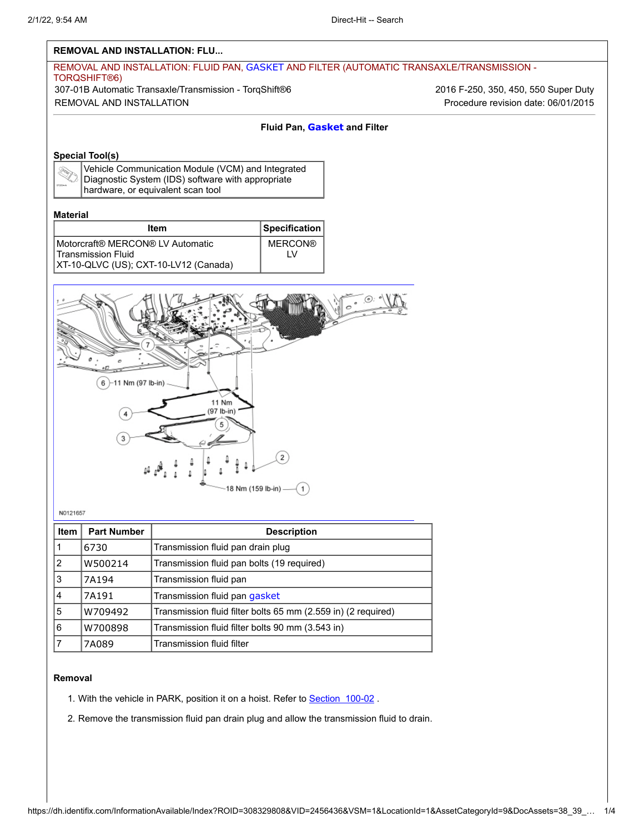### **REMOVAL AND INSTALLATION: FLU...**

# REMOVAL AND INSTALLATION: FLUID PAN, GASKET AND FILTER (AUTOMATIC TRANSAXLE/TRANSMISSION - TORQSHIFT®6) 307-01B Automatic Transaxle/Transmission - TorqShift®6 2016 F-250, 350, 450, 550 Super Duty REMOVAL AND INSTALLATION Procedure revision date: 06/01/2015

#### **Fluid Pan, Gasket and Filter**

## **Special Tool(s)**

| ST2834-A |
|----------|
|          |

Vehicle Communication Module (VCM) and Integrated 2 Diagnostic System (IDS) software with appropriate hardware, or equivalent scan tool

#### **Material**

| Item                                                     | Specification  |
|----------------------------------------------------------|----------------|
| I Motorcraft® MERCON® LV Automatic<br>Transmission Fluid | <b>MERCON®</b> |
| XT-10-QLVC (US); CXT-10-LV12 (Canada)                    |                |



N0121657

| <b>Item</b> | <b>Part Number</b> | <b>Description</b>                                            |
|-------------|--------------------|---------------------------------------------------------------|
|             | 6730               | Transmission fluid pan drain plug                             |
| 2           | W500214            | Transmission fluid pan bolts (19 required)                    |
| 3           | 7A194              | Transmission fluid pan                                        |
| 4           | 7A191              | Transmission fluid pan gasket                                 |
| 5           | W709492            | Transmission fluid filter bolts 65 mm (2.559 in) (2 required) |
| 6           | W700898            | Transmission fluid filter bolts 90 mm (3.543 in)              |
|             | 7A089              | <b>Transmission fluid filter</b>                              |

### **Removal**

- 1. With the vehicle in PARK, position it on a hoist. Refer to **Section 100-02**.
- 2. Remove the transmission fluid pan drain plug and allow the transmission fluid to drain.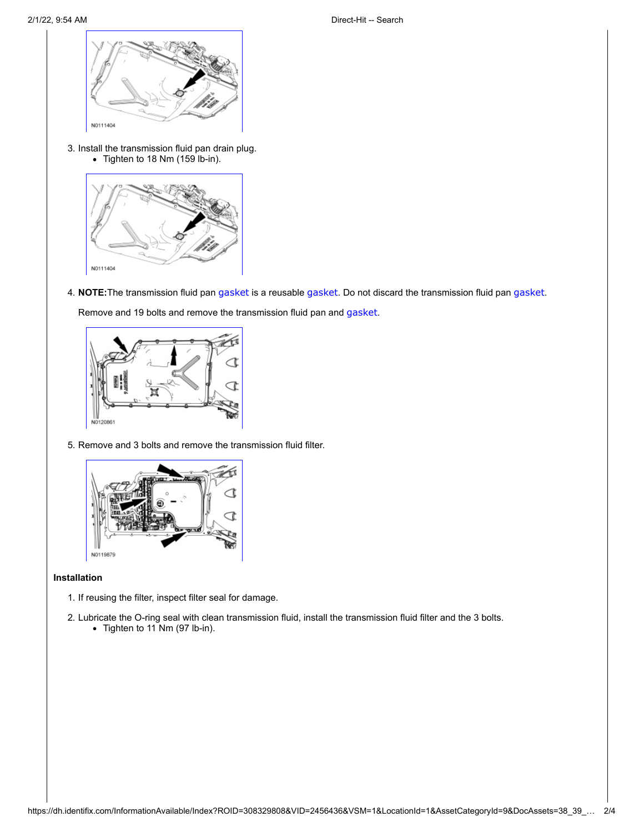

3. Install the transmission fluid pan drain plug. Tighten to 18 Nm (159 lb-in).



4. **NOTE:**The transmission fluid pan gasket is a reusable gasket. Do not discard the transmission fluid pan gasket.

Remove and 19 bolts and remove the transmission fluid pan and gasket.



5. Remove and 3 bolts and remove the transmission fluid filter.



# **Installation**

- 1. If reusing the filter, inspect filter seal for damage.
- 2. Lubricate the O-ring seal with clean transmission fluid, install the transmission fluid filter and the 3 bolts.
	- Tighten to 11 Nm (97 lb-in).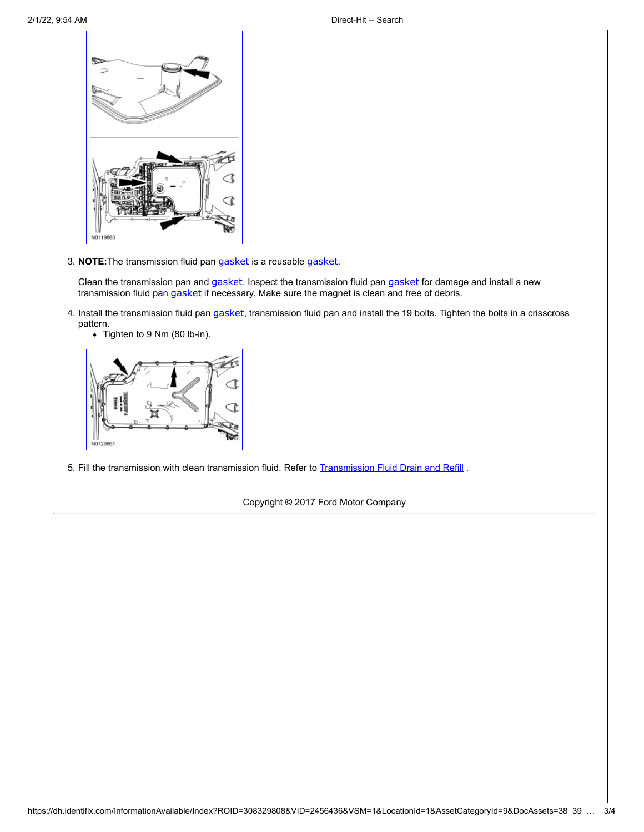

3. **NOTE:**The transmission fluid pan gasket is a reusable gasket.

Clean the transmission pan and gasket. Inspect the transmission fluid pan gasket for damage and install a new transmission fluid pan gasket if necessary. Make sure the magnet is clean and free of debris.

- 4. Install the transmission fluid pan gasket, transmission fluid pan and install the 19 bolts. Tighten the bolts in a crisscross pattern.
	- Tighten to 9 Nm (80 lb-in).



5. Fill the transmission with clean transmission fluid. Refer to Transmission Fluid Drain and Refill.

Copyright © 2017 Ford Motor Company